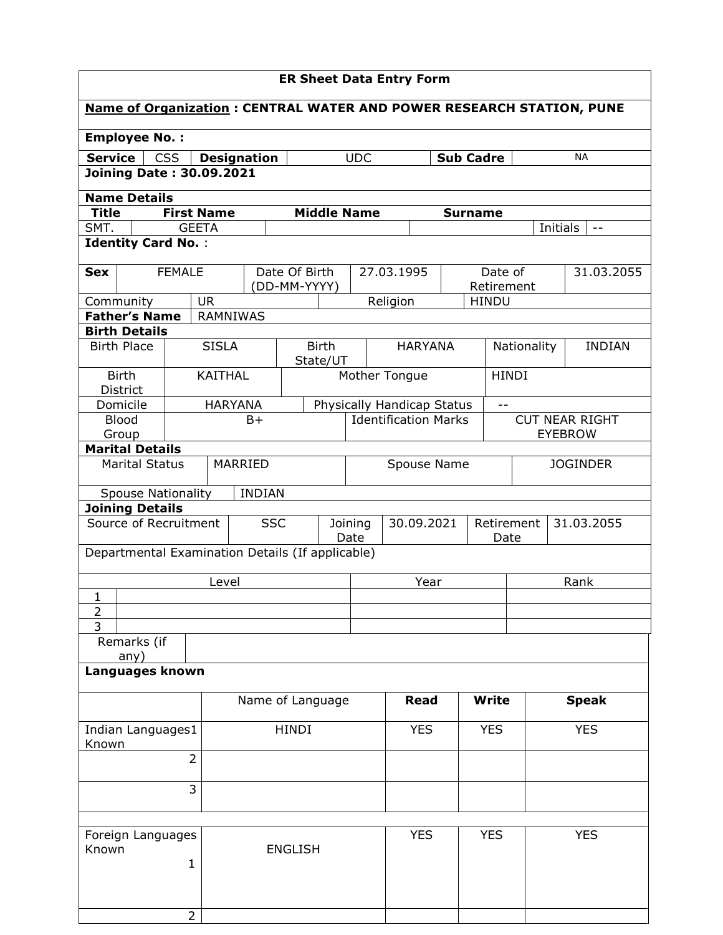| <b>ER Sheet Data Entry Form</b> |                                 |                           |                                 |                    |                                                                             |                                                     |                            |                  |                       |                                         |            |               |
|---------------------------------|---------------------------------|---------------------------|---------------------------------|--------------------|-----------------------------------------------------------------------------|-----------------------------------------------------|----------------------------|------------------|-----------------------|-----------------------------------------|------------|---------------|
|                                 |                                 |                           |                                 |                    | <b>Name of Organization: CENTRAL WATER AND POWER RESEARCH STATION, PUNE</b> |                                                     |                            |                  |                       |                                         |            |               |
|                                 | <b>Employee No.:</b>            |                           |                                 |                    |                                                                             |                                                     |                            |                  |                       |                                         |            |               |
| <b>Service</b>                  |                                 | <b>CSS</b>                |                                 | <b>Designation</b> |                                                                             | <b>UDC</b>                                          |                            | <b>Sub Cadre</b> |                       |                                         |            | <b>NA</b>     |
|                                 |                                 |                           | <b>Joining Date: 30.09.2021</b> |                    |                                                                             |                                                     |                            |                  |                       |                                         |            |               |
|                                 | <b>Name Details</b>             |                           |                                 |                    |                                                                             |                                                     |                            |                  |                       |                                         |            |               |
| <b>Title</b>                    |                                 |                           | <b>First Name</b>               |                    |                                                                             | <b>Middle Name</b>                                  |                            | <b>Surname</b>   |                       |                                         |            |               |
| SMT.                            |                                 |                           | <b>GEETA</b>                    |                    |                                                                             |                                                     |                            |                  |                       |                                         | Initials   | $- -$         |
|                                 |                                 | <b>Identity Card No.:</b> |                                 |                    |                                                                             |                                                     |                            |                  |                       |                                         |            |               |
| <b>Sex</b>                      |                                 | <b>FEMALE</b>             |                                 |                    | Date Of Birth<br>(DD-MM-YYYY)                                               |                                                     | 27.03.1995                 |                  | Date of<br>Retirement |                                         |            | 31.03.2055    |
|                                 | Community                       |                           | <b>UR</b>                       |                    |                                                                             |                                                     | Religion                   |                  | <b>HINDU</b>          |                                         |            |               |
|                                 | <b>Father's Name</b>            |                           | <b>RAMNIWAS</b>                 |                    |                                                                             |                                                     |                            |                  |                       |                                         |            |               |
|                                 | <b>Birth Details</b>            |                           |                                 |                    |                                                                             |                                                     |                            |                  |                       |                                         |            |               |
|                                 | <b>Birth Place</b>              |                           | <b>SISLA</b>                    |                    | <b>Birth</b><br>State/UT                                                    |                                                     | <b>HARYANA</b>             |                  |                       | Nationality                             |            | <b>INDIAN</b> |
|                                 | <b>Birth</b><br><b>District</b> |                           | <b>KAITHAL</b>                  |                    |                                                                             |                                                     | Mother Tongue              |                  | <b>HINDI</b>          |                                         |            |               |
| <b>HARYANA</b><br>Domicile      |                                 |                           |                                 |                    |                                                                             |                                                     | Physically Handicap Status |                  | $- -$                 |                                         |            |               |
| <b>Blood</b><br>Group           |                                 |                           | $B+$                            |                    | <b>Identification Marks</b>                                                 |                                                     |                            |                  |                       | <b>CUT NEAR RIGHT</b><br><b>EYEBROW</b> |            |               |
| <b>Marital Details</b>          |                                 |                           |                                 |                    |                                                                             |                                                     |                            |                  |                       |                                         |            |               |
| <b>Marital Status</b>           |                                 |                           | MARRIED                         |                    |                                                                             | Spouse Name                                         |                            |                  | <b>JOGINDER</b>       |                                         |            |               |
|                                 |                                 | <b>Spouse Nationality</b> |                                 | <b>INDIAN</b>      |                                                                             |                                                     |                            |                  |                       |                                         |            |               |
|                                 | <b>Joining Details</b>          |                           |                                 |                    |                                                                             |                                                     |                            |                  |                       |                                         |            |               |
|                                 |                                 | Source of Recruitment     |                                 | <b>SSC</b>         |                                                                             | 30.09.2021<br>Retirement<br>Joining<br>Date<br>Date |                            |                  |                       |                                         |            | 31.03.2055    |
|                                 |                                 |                           |                                 |                    | Departmental Examination Details (If applicable)                            |                                                     |                            |                  |                       |                                         |            |               |
|                                 |                                 |                           | Level                           |                    |                                                                             | Year                                                |                            |                  |                       | Rank                                    |            |               |
| 1                               |                                 |                           |                                 |                    |                                                                             |                                                     |                            |                  |                       |                                         |            |               |
| $\frac{2}{3}$                   |                                 |                           |                                 |                    |                                                                             |                                                     |                            |                  |                       |                                         |            |               |
|                                 | Remarks (if                     |                           |                                 |                    |                                                                             |                                                     |                            |                  |                       |                                         |            |               |
|                                 | any)                            |                           |                                 |                    |                                                                             |                                                     |                            |                  |                       |                                         |            |               |
|                                 |                                 | Languages known           |                                 |                    |                                                                             |                                                     |                            |                  |                       |                                         |            |               |
|                                 |                                 |                           |                                 |                    | Name of Language                                                            |                                                     | <b>Read</b>                |                  | <b>Write</b>          |                                         |            | <b>Speak</b>  |
| Known                           |                                 | Indian Languages1         |                                 | <b>HINDI</b>       |                                                                             |                                                     | <b>YES</b>                 |                  | <b>YES</b>            |                                         | <b>YES</b> |               |
| $\overline{2}$                  |                                 |                           |                                 |                    |                                                                             |                                                     |                            |                  |                       |                                         |            |               |
|                                 |                                 |                           | 3                               |                    |                                                                             |                                                     |                            |                  |                       |                                         |            |               |
|                                 |                                 |                           |                                 |                    |                                                                             |                                                     |                            |                  |                       |                                         |            |               |
| Foreign Languages<br>Known<br>1 |                                 |                           |                                 | <b>ENGLISH</b>     |                                                                             | <b>YES</b>                                          |                            | <b>YES</b>       |                       |                                         | <b>YES</b> |               |
|                                 |                                 |                           | $\overline{2}$                  |                    |                                                                             |                                                     |                            |                  |                       |                                         |            |               |
|                                 |                                 |                           |                                 |                    |                                                                             |                                                     |                            |                  |                       |                                         |            |               |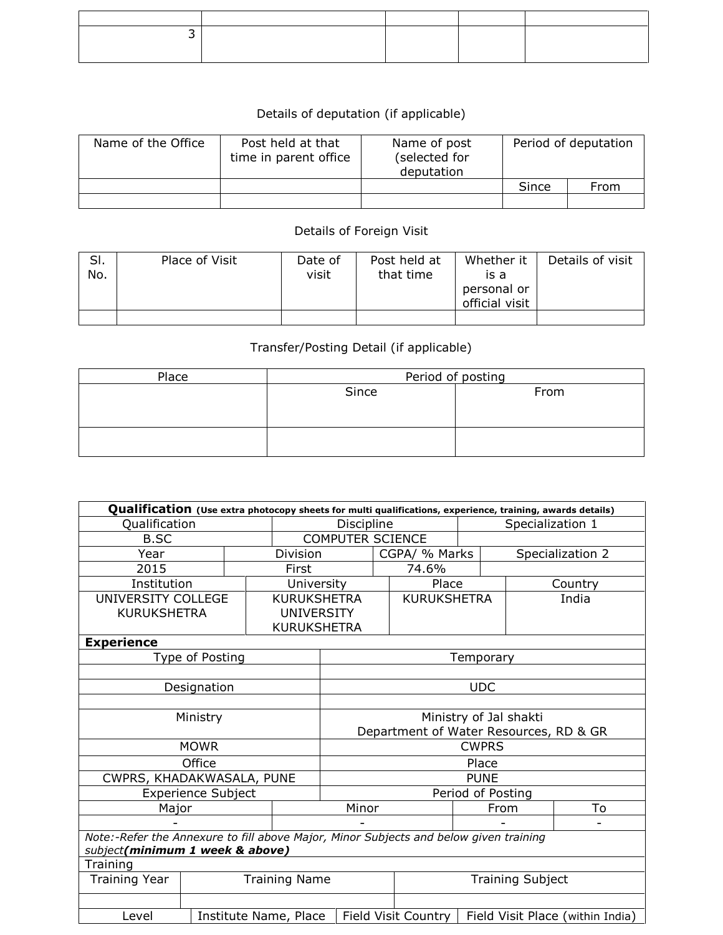## Details of deputation (if applicable)

| Name of the Office | Post held at that<br>time in parent office | Name of post<br>(selected for<br>deputation | Period of deputation |      |  |
|--------------------|--------------------------------------------|---------------------------------------------|----------------------|------|--|
|                    |                                            |                                             | Since                | From |  |
|                    |                                            |                                             |                      |      |  |

## Details of Foreign Visit

| SI.<br>No. | Place of Visit | Date of<br>visit | Post held at<br>that time | Whether it<br>is a<br>personal or<br>official visit | Details of visit |
|------------|----------------|------------------|---------------------------|-----------------------------------------------------|------------------|
|            |                |                  |                           |                                                     |                  |

## Transfer/Posting Detail (if applicable)

| Place | Period of posting |      |  |  |  |  |  |
|-------|-------------------|------|--|--|--|--|--|
|       | Since             | From |  |  |  |  |  |
|       |                   |      |  |  |  |  |  |
|       |                   |      |  |  |  |  |  |
|       |                   |      |  |  |  |  |  |
|       |                   |      |  |  |  |  |  |

| Qualification (Use extra photocopy sheets for multi qualifications, experience, training, awards details) |                           |  |                         |                                        |               |                     |                  |                         |                                  |
|-----------------------------------------------------------------------------------------------------------|---------------------------|--|-------------------------|----------------------------------------|---------------|---------------------|------------------|-------------------------|----------------------------------|
| Qualification                                                                                             |                           |  |                         | Discipline                             |               |                     | Specialization 1 |                         |                                  |
| <b>B.SC</b>                                                                                               |                           |  | <b>COMPUTER SCIENCE</b> |                                        |               |                     |                  |                         |                                  |
| Year                                                                                                      |                           |  | Division                |                                        | CGPA/ % Marks |                     | Specialization 2 |                         |                                  |
| 2015                                                                                                      |                           |  | First                   |                                        |               | 74.6%               |                  |                         |                                  |
| Institution                                                                                               |                           |  | University              |                                        |               | Place               |                  |                         | Country                          |
| UNIVERSITY COLLEGE                                                                                        |                           |  | <b>KURUKSHETRA</b>      |                                        |               | <b>KURUKSHETRA</b>  |                  |                         | India                            |
| <b>KURUKSHETRA</b>                                                                                        |                           |  | <b>UNIVERSITY</b>       |                                        |               |                     |                  |                         |                                  |
|                                                                                                           |                           |  | <b>KURUKSHETRA</b>      |                                        |               |                     |                  |                         |                                  |
| <b>Experience</b>                                                                                         |                           |  |                         |                                        |               |                     |                  |                         |                                  |
|                                                                                                           | Type of Posting           |  |                         |                                        |               |                     | Temporary        |                         |                                  |
|                                                                                                           |                           |  |                         |                                        |               |                     |                  |                         |                                  |
|                                                                                                           | Designation               |  |                         | <b>UDC</b>                             |               |                     |                  |                         |                                  |
|                                                                                                           |                           |  |                         |                                        |               |                     |                  |                         |                                  |
|                                                                                                           | Ministry                  |  |                         | Ministry of Jal shakti                 |               |                     |                  |                         |                                  |
|                                                                                                           |                           |  |                         | Department of Water Resources, RD & GR |               |                     |                  |                         |                                  |
|                                                                                                           | <b>MOWR</b>               |  |                         | <b>CWPRS</b>                           |               |                     |                  |                         |                                  |
|                                                                                                           | Office                    |  |                         | Place                                  |               |                     |                  |                         |                                  |
| CWPRS, KHADAKWASALA, PUNE                                                                                 |                           |  |                         | <b>PUNE</b>                            |               |                     |                  |                         |                                  |
|                                                                                                           | <b>Experience Subject</b> |  |                         | Period of Posting                      |               |                     |                  |                         |                                  |
| Major                                                                                                     |                           |  |                         | Minor                                  |               |                     | From             |                         | To                               |
|                                                                                                           |                           |  |                         |                                        |               |                     |                  |                         |                                  |
| Note:-Refer the Annexure to fill above Major, Minor Subjects and below given training                     |                           |  |                         |                                        |               |                     |                  |                         |                                  |
| subject(minimum 1 week & above)                                                                           |                           |  |                         |                                        |               |                     |                  |                         |                                  |
| Training                                                                                                  |                           |  |                         |                                        |               |                     |                  |                         |                                  |
| <b>Training Year</b><br><b>Training Name</b>                                                              |                           |  |                         |                                        |               |                     |                  | <b>Training Subject</b> |                                  |
|                                                                                                           |                           |  |                         |                                        |               |                     |                  |                         |                                  |
| Level<br>Institute Name, Place                                                                            |                           |  |                         |                                        |               | Field Visit Country |                  |                         | Field Visit Place (within India) |